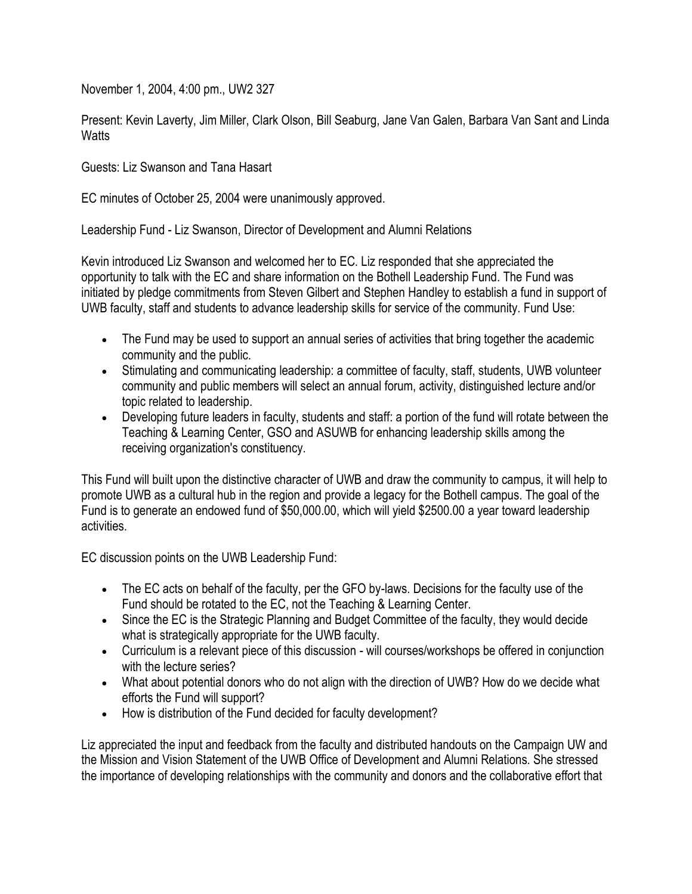November 1, 2004, 4:00 pm., UW2 327

Present: Kevin Laverty, Jim Miller, Clark Olson, Bill Seaburg, Jane Van Galen, Barbara Van Sant and Linda **Watts** 

Guests: Liz Swanson and Tana Hasart

EC minutes of October 25, 2004 were unanimously approved.

Leadership Fund - Liz Swanson, Director of Development and Alumni Relations

Kevin introduced Liz Swanson and welcomed her to EC. Liz responded that she appreciated the opportunity to talk with the EC and share information on the Bothell Leadership Fund. The Fund was initiated by pledge commitments from Steven Gilbert and Stephen Handley to establish a fund in support of UWB faculty, staff and students to advance leadership skills for service of the community. Fund Use:

- The Fund may be used to support an annual series of activities that bring together the academic community and the public.
- Stimulating and communicating leadership: a committee of faculty, staff, students, UWB volunteer community and public members will select an annual forum, activity, distinguished lecture and/or topic related to leadership.
- Developing future leaders in faculty, students and staff: a portion of the fund will rotate between the Teaching & Learning Center, GSO and ASUWB for enhancing leadership skills among the receiving organization's constituency.

This Fund will built upon the distinctive character of UWB and draw the community to campus, it will help to promote UWB as a cultural hub in the region and provide a legacy for the Bothell campus. The goal of the Fund is to generate an endowed fund of \$50,000.00, which will yield \$2500.00 a year toward leadership activities.

EC discussion points on the UWB Leadership Fund:

- The EC acts on behalf of the faculty, per the GFO by-laws. Decisions for the faculty use of the Fund should be rotated to the EC, not the Teaching & Learning Center.
- Since the EC is the Strategic Planning and Budget Committee of the faculty, they would decide what is strategically appropriate for the UWB faculty.
- Curriculum is a relevant piece of this discussion will courses/workshops be offered in conjunction with the lecture series?
- What about potential donors who do not align with the direction of UWB? How do we decide what efforts the Fund will support?
- How is distribution of the Fund decided for faculty development?

Liz appreciated the input and feedback from the faculty and distributed handouts on the Campaign UW and the Mission and Vision Statement of the UWB Office of Development and Alumni Relations. She stressed the importance of developing relationships with the community and donors and the collaborative effort that